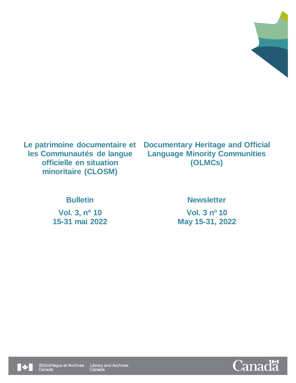

**Le patrimoine documentaire et les Communautés de langue officielle en situation minoritaire (CLOSM)**

**Documentary Heritage and Official Language Minority Communities (OLMCs)**

**Vol. 3, n<sup>o</sup> 10 Vol. 3 n**

# **Bulletin Newsletter**

**Vol. 3 nº 10 15-31 mai 2022 May 15-31, 2022**



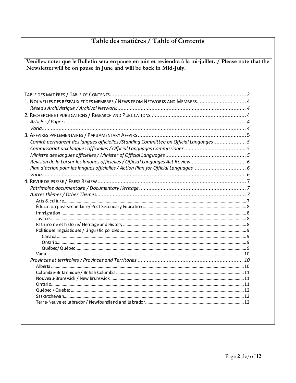# <span id="page-1-0"></span>Table des matières / Table of Contents

Veuillez noter que le Bulletin sera en pause en juin et reviendra à la mi-juillet. / Please note that the Newsletter will be on pause in June and will be back in Mid-July.

| 1. NOUVELLES DES RÉSEAUX ET DES MEMBRES / NEWS FROM NETWORKS AND MEMBERS 4            |  |
|---------------------------------------------------------------------------------------|--|
|                                                                                       |  |
|                                                                                       |  |
|                                                                                       |  |
|                                                                                       |  |
|                                                                                       |  |
| Comité permanent des langues officielles / Standing Committee on Official Languages 5 |  |
|                                                                                       |  |
|                                                                                       |  |
|                                                                                       |  |
|                                                                                       |  |
| Plan d'action pour les langues officielles / Action Plan for Official Languages 6     |  |
|                                                                                       |  |
|                                                                                       |  |
|                                                                                       |  |
|                                                                                       |  |
|                                                                                       |  |
|                                                                                       |  |
|                                                                                       |  |
|                                                                                       |  |
|                                                                                       |  |
|                                                                                       |  |
|                                                                                       |  |
|                                                                                       |  |
|                                                                                       |  |
|                                                                                       |  |
|                                                                                       |  |
|                                                                                       |  |
|                                                                                       |  |
|                                                                                       |  |
|                                                                                       |  |
|                                                                                       |  |
|                                                                                       |  |
|                                                                                       |  |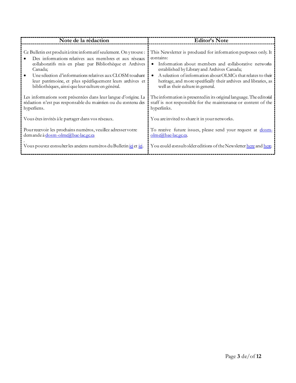| Note de la rédaction                                                | <b>Editor's Note</b>                                                             |
|---------------------------------------------------------------------|----------------------------------------------------------------------------------|
| Ce Bulletin est produit à titre informatif seulement. On y trouve : | This Newsletter is produced for information purposes only. It                    |
| Des informations relatives aux membres et aux réseaux               | contains:                                                                        |
| collaboratifs mis en place par Bibliothèque et Archives             | Information about members and collaborative networks                             |
| Canada;                                                             | established by Library and Archives Canada;                                      |
| Une sélection d'informations relatives aux CLOSM touchant           | A selection of information about OLMCs that relates to their                     |
| leur patrimoine, et plus spécifiquement leurs archives et           | hentage, and more specifically their archives and libraries, as                  |
| bibliothèques, ainsi que leur culture en général.                   | well as their culture in general.                                                |
| Les informations sont présentées dans leur langue d'origine. La     | The information is presented in its original language. The editorial             |
| rédaction n'est pas responsable du maintien ou du contenu des       | staff is not responsible for the maintenance or content of the                   |
| hyperliens.                                                         | hyperlinks.                                                                      |
| Vous êtes invités à le partager dans vos réseaux.                   | You are invited to share it in your networks.                                    |
| Pour recevoir les prochains numéros, veuillez adresser votre        | To receive future issues, please send your request at dosm-                      |
| demande à dosm-olmc@bac-lacgcca                                     | olmd@bac-lacecca.                                                                |
| Vous pouvez consulter les anciens numéros du Bulletin joi et joi.   | You could consult older editions of the Newsletter <u>here</u> and <u>here</u> . |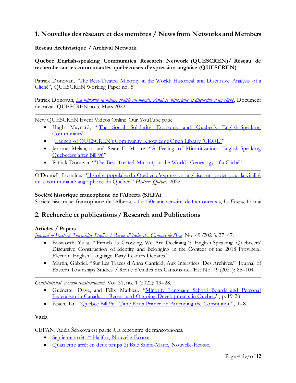# <span id="page-3-0"></span>**1. Nouvelles des réseaux et des membres / News from Networks and Members**

<span id="page-3-1"></span>**Réseau Archivistique / Archival Network** 

**Quebec English-speaking Communities Research Network (QUESCREN)/ Réseau de recherche sur les communautés québécoises d'expression anglaise (QUESCREN)**

Patrick Donovan, "[The Best-Treated Minority in the World: Historical and Discursive Analysis of a](https://www.concordia.ca/content/dam/artsci/scpa/quescren/docs/QUESCREN_Working_Paper_5_Donovan.pdf)  [Cliché](https://www.concordia.ca/content/dam/artsci/scpa/quescren/docs/QUESCREN_Working_Paper_5_Donovan.pdf)", QUESCREN Working Paper no. 5

Patrick Donovan, *[La minorité la mieux traitée au monde. Analyse historique et discursive d'un cliché](https://www.concordia.ca/content/dam/artsci/scpa/quescren/docs/Working_Paper_5_Donovan_FRA.pdf)*, Document de travail QUESCREN no 5, Mars 2022

New QUESCREN Event Videos Online Our YouTube page

- Hugh Maynard, ["The Social Solidarity Economy and Quebec's English](•%09https:/www.youtube.com/watch?v=oV85WbH7_wk)-Speaking [Communities](•%09https:/www.youtube.com/watch?v=oV85WbH7_wk)"
- $\bullet$  "[Launch of QUESCREN's Community Knowledge Open Library \(CKOL\)](https://www.youtube.com/watch?v=R6Z6LSGcvFc)"
- Jérôme Mélançon and Sean E. Moore, "A Feeling of Minoritization: English-Speaking [Quebecers after Bill 96](https://www.youtube.com/watch?v=R6Z6LSGcvFc)"
- Patrick Donovan "[The Best Treated Minority in the World](https://www.youtube.com/watch?v=0w0Ao-c4qVs)': Genealogy of a Cliché"

O'Donnell, Lorraine. ["Histoire populaire du Québec d'expression anglaise: un projet pour la vitalité](https://www.erudit.org/fr/revues/hq/2022-v27-n3-hq06946/98648ac.pdf)  [de la communauté anglophone du](https://www.erudit.org/fr/revues/hq/2022-v27-n3-hq06946/98648ac.pdf) Québec." *Histoire Québec*, 2022.

#### **Société historique francophone de l'Alberta (SHFA)**

Société historique francophone de l'Alberta, « [Le 150e anniversaire de Lamoureux](https://lefranco.ab.ca/150-ans-village-freres-quebecois-joseph-francois-lamoureux-fort-edmonton/) », *Le Franco*, 17 mai

### <span id="page-3-2"></span>**2. Recherche et publications / Research and Publications**

#### <span id="page-3-3"></span>**Articles / Papers**

*[Journal of Eastern Townships Studie](https://umaine.edu/canam/wp-content/uploads/sites/149/2021/09/00_JETS-49-1.pdf)s / Revue d'études des Cantons-de-l'Est* No. 49 (2021): 27–47.

- Bosworth, Yulia. "'French Is Growing, We Are Declining!' : English-Speaking Quebecers' Discursive Construction of Identity and Belonging in the Context of the 2018 Provincial Election English-Language Party Leaders Debates."
- Martin, Gabriel. "Sur Les Traces d'Anna Canfield, Aux Interstices Des Archives." Journal of Eastern Townships Studies / Revue d'études des Cantons-de-l'Est No. 49 (2021): 85–104.

*Constitutional Forum constitutionnel* Vol. 31, no. 1 (2022): 19–28.

- Guénette, Dave, and Félix Mathieu. "[Minority Language School Boards and Personal](https://journals.library.ualberta.ca/constitutional_forum/index.php/constitutional_forum/article/view/29438/21430)  Federalism in Canada — [Recent and Ongoing Developments in Quebec](https://journals.library.ualberta.ca/constitutional_forum/index.php/constitutional_forum/article/view/29438/21430).", p. 19-28
- Peach, Ian. "Ouebec Bill 96 [Time For a Primer on Amending the Constitution](https://journals.library.ualberta.ca/constitutional_forum/index.php/constitutional_forum/article/view/29424/21419)", 1–8.

#### <span id="page-3-4"></span>**Varia**

CEFAN. Adéla Šebková est partie à la rencontre de francophones.

- $\bullet$  [Septième arrêt = Halifax, Nouvelle-Écosse.](https://www.youtube.com/channel/UCK-Q1Sy0uCGjZsBZS2Fda7w)
- **Quatrième arrêt en [deux temps 2\) Baie Sainte-Marie, Nouvelle-Écosse.](https://www.youtube.com/watch?v=sZzyvXykJWE...)**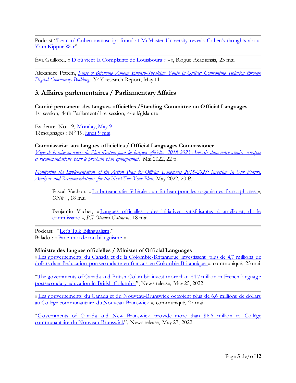Podcast ["Leonard Cohen manuscript found at McMaster University reveals Cohen's thoughts about](http://hamiltonjewishnews.com/the-mystery-leonard-cohen-manuscript)  [Yom Kippur War](http://hamiltonjewishnews.com/the-mystery-leonard-cohen-manuscript)"

Éva Guillorel, « [D'où vient la Complainte de Louisbourg ?](https://acadiensis.wordpress.com/2022/05/23/dou-vient-la-complainte-de-louisbourg/) » », Blogue Acadiensis, 23 mai

Alexandre Pettem, *[Sense of Belonging Among English-Speaking Youth in Québec: Confronting Isolation through](https://static1.squarespace.com/static/604060a7a5b9cd021142375e/t/6283d2c106f96126026e2766/1652806339550/Sense+of+Belonging+ACFAS+Paper+2022.pdf)  Digital [Community-Building](https://static1.squarespace.com/static/604060a7a5b9cd021142375e/t/6283d2c106f96126026e2766/1652806339550/Sense+of+Belonging+ACFAS+Paper+2022.pdf)*, Y4Y research Report, May 11

## <span id="page-4-0"></span>**3. Affaires parlementaires / Parliamentary Affairs**

<span id="page-4-1"></span>**Comité permanent des langues officielles /Standing Committee on Official Languages** 1st session, 44th Parliament/1re session, 44e législature

Evidence: No. 19, [Monday, May 9](https://publications.gc.ca/collections/collection_2022/parl/xc60-1/XC60-1-2-441-19-eng.pdf) Témoignages : N° 19, lundi [9 mai](https://publications.gc.ca/collections/collection_2022/parl/xc60-1/XC60-1-2-441-19-fra.pdf)

<span id="page-4-2"></span>**Commissariat aux langues officielles / Official Languages Commissioner**

*[Vigie de la mise en œuvre du Plan d'action pour les langues](https://publications.gc.ca/collections/collection_2022/clo-ocol/SF31-156-2022-fra.pdf) officielles 2018-2023 : Investir dans notre avenir. Analyse [et recommandations pour le prochain plan quinquennal](https://publications.gc.ca/collections/collection_2022/clo-ocol/SF31-156-2022-fra.pdf)*. Mai 2022, 22 p.

*[Monitoring the Implementation of the Action Plan for Official Languages 2018-2023: Investing In Our Future.](https://publications.gc.ca/collections/collection_2022/clo-ocol/SF31-156-2022-eng.pdf)  [Analysis and Recommendations for the Next Five-Year Plan](https://publications.gc.ca/collections/collection_2022/clo-ocol/SF31-156-2022-eng.pdf)*. May 2022, 20 P.

Pascal Vachon, « [La bureaucratie fédérale : un fardeau pour les organismes francophones](https://onfr.tfo.org/bureaucratie-organismes-francophones-plan-action-langues-officielles/) », *ONfr+*, 18 mai

Benjamin Vachet, « [Langues officielles : des initiatives satisfaisantes à améliorer, dit le](https://ici.radio-canada.ca/nouvelle/1884465/plan-action-langues-officielles-raymond-theberge-commissaire-suivi)  [commissaire](https://ici.radio-canada.ca/nouvelle/1884465/plan-action-langues-officielles-raymond-theberge-commissaire-suivi) », *ICI Ottawa-Gatineau*, 18 mai

Podcast: ["Let's Talk Bilingualism."](https://www.clo-ocol.gc.ca/en/publications/podcasts) Balado : « [Parle-moi de ton bilinguisme](https://www.clo-ocol.gc.ca/fr/publications/balados) »

#### <span id="page-4-3"></span>**Ministre des langues officielles / Minister of Official Languages**

« [Les gouvernements du Canada et de la Colombie-Britannique investissent plus de 4,7 millions de](https://www.canada.ca/fr/patrimoine-canadien/nouvelles/2022/05/les-gouvernements-du-canada-et-de-la-colombie-britannique-investissent-plus-de-47millions-de-dollars-dans-leducation-postsecondaire-en-francais-en-.html)  dollars dans l'éduca[tion postsecondaire en français en Colombie-Britannique](https://www.canada.ca/fr/patrimoine-canadien/nouvelles/2022/05/les-gouvernements-du-canada-et-de-la-colombie-britannique-investissent-plus-de-47millions-de-dollars-dans-leducation-postsecondaire-en-francais-en-.html) », communiqué, 25 mai

"[The governments of Canada and British Columbia invest more than \\$4.7 million in French-language](https://www.canada.ca/en/canadian-heritage/news/2022/05/the-governments-of-canada-and-british-columbia-invest-more-than-47million-in-french-language-postsecondary-education-in-british-columbia.html)  [postsecondary education in British Columbia](https://www.canada.ca/en/canadian-heritage/news/2022/05/the-governments-of-canada-and-british-columbia-invest-more-than-47million-in-french-language-postsecondary-education-in-british-columbia.html)", News release, May 25, 2022

« [Les gouvernements du Canada et du Nouveau-Brunswick octroient plus de 6,6 millions de dollars](https://www.canada.ca/fr/patrimoine-canadien/nouvelles/2022/05/les-gouvernements-du-canada-et-du-nouveau-brunswick-octroient-plus-de-66-millions-de-dollars-au-college-communautaire-du-nouveau-brunswick.html)  [au Collège communautaire du Nouveau-Brunswick](https://www.canada.ca/fr/patrimoine-canadien/nouvelles/2022/05/les-gouvernements-du-canada-et-du-nouveau-brunswick-octroient-plus-de-66-millions-de-dollars-au-college-communautaire-du-nouveau-brunswick.html) », communiqué, 27 mai

"[Governments of Canada and New Brunswick provide more than \\$6.6 million to Collège](https://www.canada.ca/en/canadian-heritage/news/2022/05/governments-of-canada-and-new-brunswick-provide-more-than-66million-to-college-communautaire-du-nouveau-brunswick.html)  [communautaire du Nouveau-Brunswick](https://www.canada.ca/en/canadian-heritage/news/2022/05/governments-of-canada-and-new-brunswick-provide-more-than-66million-to-college-communautaire-du-nouveau-brunswick.html)", News release, May 27, 2022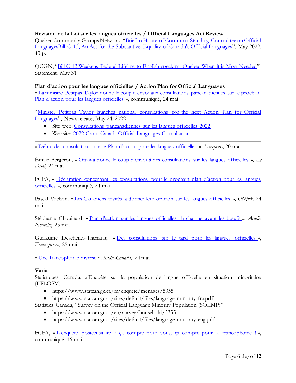#### <span id="page-5-0"></span>**Révision de la Loi sur les langues officielles / Official Languages Act Review**

Quebec Community Groups Network, "Brief to House of Commons [Standing Committee on Official](https://qcgn.ca/wp-content/uploads/2022/05/2022.05.16-C-13-Committee-Brief-Final-English.pdf)  LanguagesBill C-13, [An Act for the Substantive Equality of Canada's Official Languages](https://qcgn.ca/wp-content/uploads/2022/05/2022.05.16-C-13-Committee-Brief-Final-English.pdf)", May 2022, 43 p.

QCGN, "[Bill C-13 Weakens Federal Lifeline to English-speaking Quebec When it is Most](https://qcgn.ca/wp-content/uploads/2022/05/QCGN-Statement-on-C-13-2022.05.3176.pdf) Needed" Statement, May 31

<span id="page-5-1"></span>**Plan d'action pour les langues officielles / Action Plan for Official Languages** « [La ministre Petitpas Taylor donne le coup d'envoi aux consultations pancanadiennes sur le prochain](https://www.canada.ca/fr/patrimoine-canadien/nouvelles/2022/05/la-ministre-petitpas-taylor-donne-le-coup-denvoi-aux-consultations-pancanadiennes-sur-le-prochain-plan-daction-pour-les-langues-officielles.html)  [Plan d'action pour les langues officielles](https://www.canada.ca/fr/patrimoine-canadien/nouvelles/2022/05/la-ministre-petitpas-taylor-donne-le-coup-denvoi-aux-consultations-pancanadiennes-sur-le-prochain-plan-daction-pour-les-langues-officielles.html) », communiqué, 24 mai

"[Minister Petitpas Taylor launches national consultations for the next Action](https://www.canada.ca/en/canadian-heritage/news/2022/05/minister-petitpas-taylor-launches-national-consultations-for-the-next-action-plan-for-official-languages.html) Plan for Official [Languages](https://www.canada.ca/en/canadian-heritage/news/2022/05/minister-petitpas-taylor-launches-national-consultations-for-the-next-action-plan-for-official-languages.html)", News release, May 24, 2022

- Site web[: Consultations pancanadiennes sur les langues officielles 2022](https://www.canada.ca/fr/patrimoine-canadien/campagnes/consultation-langues-officielles-2022.html)
- Website: [2022 Cross-Canada Official Languages Consultations](https://www.canada.ca/en/canadian-heritage/campaigns/consultation-official-languages-2022.html)

« [Début des consultations sur le Plan d'action pour les langues officielles](https://l-express.ca/langues-officielles-immigration-francais-quebec-charles-camilla-monarchie/) », *L'express*, 20 mai

Émilie Bergeron, « [Ottawa donne le coup d'envoi à des consultations sur les langues officielles](https://www.ledroit.com/2022/05/24/ottawa-donne-le-coup-denvoi-a-des-consultations-sur-les-langues-officielles-10264e5d2c4abf0c55dea93d310079c7) », *Le Droit,* 24 mai

FCFA, « [Déclaration concernant les consultations pour le prochain plan d'action pour les langues](https://fcfa.ca/declaration-concernant-les-consultations-pour-le-prochain-plan-daction-pour-les-langues-officielles/)  [officielles](https://fcfa.ca/declaration-concernant-les-consultations-pour-le-prochain-plan-daction-pour-les-langues-officielles/) », communiqué, 24 mai

Pascal Vachon, « [Les Canadiens invités à donner leur opinion sur les langues officielles](https://onfr.tfo.org/canadiens-opinion-consultations-plan-action-langues-officielles/) », *ONfr+*, 24 mai

Stéphanie Chouinard, « [Plan d'action sur les langues officielles: la charrue avant les bœufs](https://www.acadienouvelle.com/chroniques/2022/05/25/plan-daction-sur-les-langues-officielles-la-charrue-avant-les-boeufs/) », *Acadie Nouvelle*, 25 mai

Guillaume Deschênes-Thériault, « [Des consultations sur le tard pour les langues officielles](https://francopresse.ca/op-eds/des-consultations-sur-le-tard-pour-les-langues-officielles/) », *Francopresse*, 25 mai

« [Une francophonie diverse](https://ici.radio-canada.ca/info/videos/media-8614778/une-francophonie-diverse) », *Radio-Canada*, 24 mai

#### <span id="page-5-2"></span>**Varia**

Statistiques Canada, « Enquête sur la population de langue officielle en situation minoritaire (EPLOSM) »

- https://www.statcan.gc.ca/fr/enquete/menages/5355
- https://www.statcan.gc.ca/sites/default/files/language-minority-fra.pdf

Statistics Canada, "Survey on the Official Language Minority Population (SOLMP)"

- https://www.statcan.gc.ca/en/survey/household/5355
- https://www.statcan.gc.ca/sites/default/files/language-minority-eng.pdf

FCFA, « <u>L'enquête postcensitaire : ca compte pour vous</u>, ca compte pour la francophonie ! », communiqué, 16 mai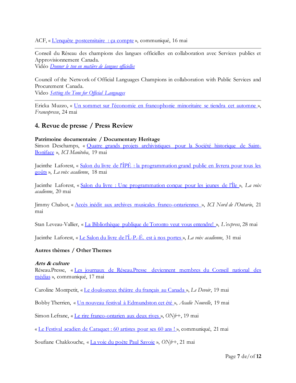ACF, « [L'enquête postcensitaire : ça compte](https://www.fransaskois.sk.ca/content/acf/gsDisplayNews/show/menu_id/65/id/589) », communiqué, 16 mai

Conseil du Réseau des champions des langues officielles en collaboration avec Services publics et Approvisionnement Canada.

Vidéo *[Donner le ton en matière de langues officielles](https://www.youtube.com/watch?v=ajbr_51574E)* 

Council of the Network of Official Languages Champions in collaboration with Public Services and Procurement Canada.

Video *[Setting the Tone for Official Languages](https://www.youtube.com/watch?v=YKbx8FBJECY)*

Ericka Muzzo, « [Un sommet sur l'économie en francophonie minoritaire se tiendra cet automne](https://francopresse.ca/2022/05/24/un-sommet-sur-leconomie-en-francophonie-minoritaire-se-tiendra-cet-automne/) », *Francopresse*, 24 mai

# <span id="page-6-0"></span>**4. Revue de presse / Press Review**

#### <span id="page-6-1"></span>**Patrimoine documentaire / Documentary Heritage**

Simon Deschamps, « [Quatre grands projets archivistiques pour la Société historique de Saint-](https://ici.radio-canada.ca/nouvelle/1884373/archives-subvention-societe-historique-saint-boniface-manitoba-george-forest)[Boniface](https://ici.radio-canada.ca/nouvelle/1884373/archives-subvention-societe-historique-saint-boniface-manitoba-george-forest) », *ICI Manitoba*, 19 mai

Jacinthe Laforest, « [Salon du livre de l'ÎPÉ : la programmation grand public en livrera pour tous les](https://lavoixacadienne.com/culture/4034-salon-du-livre-de-l-ipe-la-programmation-grand-public-en-livrera-pour-tous-les-gouts)  [goûts](https://lavoixacadienne.com/culture/4034-salon-du-livre-de-l-ipe-la-programmation-grand-public-en-livrera-pour-tous-les-gouts) », *La voix acadienne*, 18 mai

Jacinthe Laforest, « Salon du livr[e : Une programmation conçue pour les jeunes de l'Île](https://lavoixacadienne.com/culture/4036-salon-du-livre-une-programmation-concue-pour-les-jeunes-de-l-ile) », *La voix acadienne*, 20 mai

Jimmy Chabot, « Accès inédit aux archives [musicales franco-ontariennes](http://ici.radio-canada.ca/nouvelle/1884744/guy-madore-pierrette-madore-damien-robiraille-musique-franco-ontarien) », *ICI Nord de l'Ontario*, 21 mai

Stan Leveau-Vallier, « [La Bibliothèque publique de Toronto veut vous entendre!](https://l-express.ca/la-bibliotheque-publique-de-toronto-veut-vous-entendre/) », *L'express*, 28 mai

Jacinthe Laforest, « [Le Salon du livre de l'Î.](https://lavoixacadienne.com/culture/4050-le-salon-du-livre-de-l-i-p-e-est-a-nos-portes)-P.-É. est à nos portes », *La voix acadienne*, 31 mai

#### <span id="page-6-2"></span>**Autres thèmes / Other Themes**

#### <span id="page-6-3"></span>**Arts & culture**

Réseau.Presse, « [Les journaux de Réseau.Presse deviennent membres du Conseil national des](https://reseaupresse.media/les-journaux-de-reseau-presse-deviennent-membres-du-conseil-national-des-medias/)  [médias](https://reseaupresse.media/les-journaux-de-reseau-presse-deviennent-membres-du-conseil-national-des-medias/) », communiqué, 17 mai

Caroline Montpetit, « [Le douloureux théâtre du français au Canada](https://www.ledevoir.com/culture/theatre/712917/arts-le-douloureux-theatre-du-francais-au-canada) », *Le Devoir*, 19 mai

Bobby Therrien, « [Un nouveau festival à Edmundston cet été](https://www.acadienouvelle.com/actualites/2022/05/19/un-nouveau-festival-a-edmundston-cet-ete/) », *Acadie Nouvelle*, 19 mai

Simon Lefranc, « [Le rire franco-ontarien aux deux rives](https://onfr.tfo.org/releve-franco-ontarienne-humour-ontario/) », *ONfr+*, 19 mai

« [Le Festival acadien de Caraquet : 60 artistes pour ses 60 ans !](https://artsetculture.ca/le-festival-acadien-de-caraquet-60-artistes-pour-ses-60-ans/) », communiqué, 21 mai

Soufiane Chakkouche, « [La voie du poète Paul Savoie](https://onfr.tfo.org/auteur-paul-savoie-rencontre-onfr-prix-champlain/) », *ONfr+*, 21 mai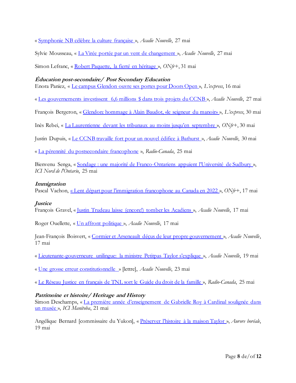« [Symphonie NB célèbre la culture française](https://www.acadienouvelle.com/arts-et-spectacles/2022/05/27/symphonie-nb-celebre-la-culture-francaise/) », *Acadie Nouvelle*, 27 mai

Sylvie Mousseau, « [La Virée portée par un](https://www.acadienouvelle.com/arts-et-spectacles/2022/05/27/la-viree-portee-par-un-vent-de-changement/) vent de changement », *Acadie Nouvelle*, 27 mai

Simon Lefranc, « [Robert Paquette, la fierté en héritage](https://onfr.tfo.org/robert-paquette-fierte-heritage) », *ONfr+*, 31 mai

#### <span id="page-7-0"></span>**Éducation post-secondaire/ Post Secondary Education**

Enora Paniez, « [Le campus Glendon ouvre ses portes pour Doors Open](https://l-express.ca/le-campus-glendon-ouvre-ses-portes-pour-doors-open-toronto/) », *L'express*, 16 mai

« [Les gouvernements investissent 6,6 millions \\$ dans trois projets du CCNB](https://www.acadienouvelle.com/actualites/2022/05/27/les-gouvernements-investissent-66-millions-dans-trois-projets-du-ccnb/) », *Acadie Nouvelle*, 27 mai

François Bergeron, « [Glendon: hommage à Alain Baudot, «le seigneur du manoir»](https://l-express.ca/glendon-hommage-a-alain-baudot-le-seigneur-du-manoir/) », *L'express*, 30 mai

Inès Rebei, « [La Laurentienne devant les tribunaux au moins jusqu'en septembre](https://onfr.tfo.org/la-laurentienne-4e-prolongation-processus-judiciaire-lacc/) », *ONfr+*, 30 mai

Justin Dupuis, « [Le CCNB travaille fort pour un nouvel édifice à Bathurst](https://www.acadienouvelle.com/actualites/2022/05/30/le-ccnb-travaille-fort-pour-un-nouvel-edifice-a-bathurst/) », *Acadie Nouvelle*, 30 mai

« [La pérennité du postsecondaire francophone](https://ici.radio-canada.ca/info/videos/1-8615325/la-perennite-postsecondaire-francophone) », *Radio-Canada*, 25 mai

Bienvenu Senga, « Sondage : une majorité de Franco-[Ontariens appuient l'Université de Sudbury](https://ici.radio-canada.ca/nouvelle/1885887/appui-universite-de-sudbury-francophone-enseignement-education-universitaire-sondage-ipsos) », *ICI Nord de l'Ontario*, 25 mai

#### <span id="page-7-1"></span>**Immigration**

Pascal Vachon, « [Lent départ pour l'immigration francophone au Canada en 2022](https://onfr.tfo.org/immigration-francophone-canada-2022-hors-quebec-ircc/) », *ONfr+*, 17 mai

#### <span id="page-7-2"></span>**Justice**

François Gravel, « [Justin Trudeau laisse \(encore!\) tomber les Acadiens](https://www.acadienouvelle.com/editoriaux/2022/05/17/justin-trudeau-laisse-encore-tomber-les-acadiens/) », *Acadie Nouvelle*, 17 mai

Roger Ouellette, « [Un affront politique](https://www.acadienouvelle.com/chroniques/2022/05/17/un-affront-politique/) », *Acadie Nouvelle*, 17 mai

Jean-François Boisvert, « [Cormier et Arseneault déçus de leur propre gouvernement](https://www.acadienouvelle.com/actualites/2022/05/17/lieutenante-gouverneure-cormier-et-arseneault-decus-de-leur-propre-gouvernement/) », *Acadie Nouvelle*, 17 mai

« Lieutenante-[gouverneure unilingue: la ministre Petitpas Taylor s'explique](https://www.acadienouvelle.com/actualites/2022/05/19/lieutentante-gouverneure-unilingue-la-ministre-petitpas-taylor-sexplique/) », *Acadie Nouvelle*, 19 mai

« [Une grosse erreur constitutionnelle](https://www.acadienouvelle.com/mon-opinion/2022/05/23/une-grosse-erreur-constitutionnelle/) » [lettre], *Acadie Nouvelle*, 23 mai

« [Le Réseau Justice en français de TNL sort le](https://ici.radio-canada.ca/ohdio/premiere/emissions/la-mouvee/segments/entrevue/402923/amour-lien-justice-association-information) Guide du droit de la famille », *Radio-Canada*, 25 mai

#### <span id="page-7-3"></span>**Patrimoine et histoire/ Heritage and History**

Simon Deschamps, « [La première année d'enseignement de Gabrielle Roy à Cardinal soulignée da](https://ici.radio-canada.ca/nouvelle/1885190/gabrielle-roy-enseignement-cardinal-musee-notre-dame-lourdes-manitoba-francophonie)ns [un musée](https://ici.radio-canada.ca/nouvelle/1885190/gabrielle-roy-enseignement-cardinal-musee-notre-dame-lourdes-manitoba-francophonie) », *ICI Manitoba*, 21 mai

Angélique Bernard [commissaire du Yukon], « Préserver l'h[istoire à la maison Taylor](https://auroreboreale.ca/preserver-lhistoire-a-la-maison-taylor) », *Aurore boréale*, 19 mai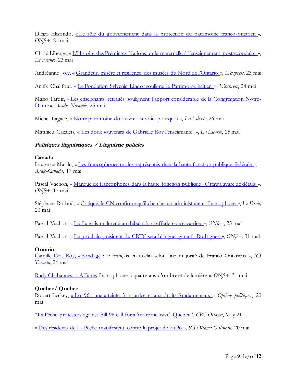Diego Elizondo, « [Le rôle du gouvernement dans la protection du patrimoine franco-ontarien](https://onfr.tfo.org/le-role-du-gouvernement-dans-la-protection-du-patrimoine-franco-ontarien/) », *ONfr+*, 21 mai

Chloé Liberge, « [L'Histoire des Premières Nations, de la maternelle à l'enseignement postsecondaire](https://lefranco.ab.ca/histoire-premiere-nations-centre-ressources-langue-francaise-cpf/) », *Le Franco*, 23 mai

Andréanne Joly, « [Grandeur, misère et résilience des musées du Nord de l'Ontario](https://l-express.ca/grandeur-misere-et-resilience-des-musees-du-nord-de-lontario/) », *L'express*, 23 mai

Annik Chalifour, « [La Fondation Sylvenie Lindor souligne le Patrimoine haïtien](https://l-express.ca/la-fondation-sylvenie-lindor-souligne-le-patrimoine-haitien/) », *L'express*, 24 mai

Mario Tardif, « [Les enseignants retraités soulignent l'apport considérable de la Congrégation Notre](https://www.acadienouvelle.com/actualites/2022/05/25/les-enseignants-retraites-soulignent-lapport-considerable-de-la-congregation-notre-dame/)-[Dame](https://www.acadienouvelle.com/actualites/2022/05/25/les-enseignants-retraites-soulignent-lapport-considerable-de-la-congregation-notre-dame/) », *Acadie Nouvelle*, 25 mai

Michel Lagacé, « [Notre patrimoine doit vivre. Et voici pourquoi](https://www.la-liberte.ca/2022/05/26/notre-patrimoine-doit-vivre-et-voici-pourquoi/) », *La Liberté*, 26 mai

Matthieu Cazalets, « Les doux souvenirs de [Gabrielle Roy l'enseignante](https://www.la-liberte.ca/2022/05/25/les-doux-souvenirs-de-gabrielle-roy-lenseignante/) », *La Liberté*, 25 mai

#### <span id="page-8-0"></span>**Politiques linguistiques / Linguistic policies**

#### <span id="page-8-1"></span>**Canada**

Laurence Martin, « [Les francophones moins représentés dans la haute fonction publique fédérale](https://ici.radio-canada.ca/nouvelle/1883960/francophones-sous-ministres-fonction-publique-federale) », *Radio-Canada*, 17 mai

Pascal Vachon, « [Manque de francophones dans la haute fonction publique : Ottawa avare de détails](https://onfr.tfo.org/francophones-haute-fonction-publique-ottawa-gouvernement-langues-officielles/) », *ONfr+*, 17 mai

Stéphane Rolland, « [Critiqué, le CN confirme qu'il cherche un administrateur francophone](https://www.ledroit.com/2022/05/20/critique-le-cn-confirme-quil-cherche-un-administrateur-francophone-98705a473c8728549c09e2824a56e498) », *Le Droit,* 20 mai

Pascal Vachon, « [Le français malmené au débat à la chefferie conservatrice](https://onfr.tfo.org/le-francais-malmene-au-debat-a-la-chefferie-conservatrice/) », *ONfr+*, 25 mai

Pascal Vachon, « [Le prochain président du CRTC sera bilingue, garantit Rodriguez](https://onfr.tfo.org/prochain-president-crtc-bilingue-pablo-rodriguez/à) », *ONfr+*, 31 mai

#### <span id="page-8-2"></span>**Ontario**

[Camille Gris Roy, «](https://ici.radio-canada.ca/nouvelle/1885595/sondage-francophones-ontario-elections-2022-ipsos) Sondage : le français en déclin selon une majorité de Franco-Ontariens », *ICI Toronto*, 24 mai

[Rudy Chabannes, «](https://onfr.tfo.org/affaires-francophones-quatre-ans-dombre-et-de-lumiere/) Affaires francophones : quatre ans d'ombre et de lumière », *ONfr+*, 31 mai

#### <span id="page-8-3"></span>**Québec/ Québec**

Robert Leckey, « [Loi 96 : une atteinte à la justice et aux droits fondamentaux](https://policyoptions.irpp.org/fr/magazines/may-2022/loi-96-droits-fondamentaux/) », *Options politiques*, 20 mai

"[La Pêche protesters against Bill 96 call for a 'more inclusive' Quebec](https://www.cbc.ca/news/canada/ottawa/bill-96-la-peche-1.6461408)", *CBC Ottawa*, May 21

« [Des résidents de La Pêche manifestent contre le projet de loi 96](https://ici.radio-canada.ca/nouvelle/1884986/manifestation-la-peche-contre-projet-de-loi-96) », *ICI Ottawa-Gatineau,* 20 mai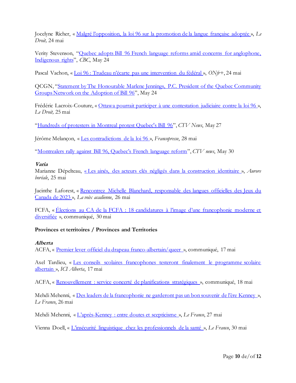Jocelyne Richer, « Malgré [l'opposition, la loi 96 sur la promotion de la langue française adoptée](https://www.ledroit.com/2022/05/24/malgre-lopposition-la-loi-96-sur-la-promotion-de-la-langue-francaise-adoptee-08bcf91c122e6f7dddd4d842c75c963f) », *Le Droit,* 24 mai

Verity Stevenson, "[Quebec adopts Bill 96 French language reforms amid concerns for anglophone,](https://www.cbc.ca/news/canada/montreal/bill-96-vote-law-1.6463965)  [Indigenous rights](https://www.cbc.ca/news/canada/montreal/bill-96-vote-law-1.6463965)", *CBC*, May 24

Pascal Vachon, « [Loi 96 : Trudeau n'écarte pas une intervention du fédéral](https://onfr.tfo.org/loi-96-justin-trudeau-intervention-federal-loi-101-legault/) », *ONfr+*, 24 mai

QCGN, "[Statement by The Honourable Marlene Jennings, P.C. President of the Quebec Community](https://qcgn.ca/wp-content/uploads/2022/05/statement-on-adooption-FINAL31.pdf)  [Groups Network on the Adoption of Bill 96](https://qcgn.ca/wp-content/uploads/2022/05/statement-on-adooption-FINAL31.pdf)", May 24

Frédéric Lacroix-Couture, « [Ottawa pourrait participer à une contestation judiciaire contre la loi 96](https://www.ledroit.com/2022/05/25/ottawa-pourrait-participer-a-une-contestation-judiciaire-contre-la-loi-96-1543de0283b2adf4263abadf67adf412) », *Le Droit,* 25 mai

"[Hundreds of protesters in Montreal protest Quebec's Bill 96](https://montreal.ctvnews.ca/hundreds-of-protesters-in-montreal-protest-quebec-s-bill-96-1.5920740)", *CTV News*, May 27

Jérôme Melançon, « [Les contradictions de la loi 96](https://francopresse.ca/op-eds/les-contradictions-de-la-loi-96/) », *Francopresse*, 28 mai

"Montr[ealers rally against Bill 96, Quebec's French language reform"](https://montreal.citynews.ca/2022/05/27/montrealers-rally-against-bill-96-quebec-french-language/), *CTV news*, May 30

#### <span id="page-9-0"></span>**Varia**

Marianne Dépelteau, « [Les ainés, des acteurs clés négligés dans la construction identitaire](https://auroreboreale.ca/les-aines-des-acteurs-cles-negliges-dans-la-construction-identitaire/) », *Aurore boréale*, 25 mai

Jacinthe Laforest, « [Rencontrez Michelle Blanchard, responsable des langues officielles des Jeux du](https://lavoixacadienne.com/voir-plus/sports/4043-rencontrez-michelle-blanchard-responsable-des-langues-officielles-des-jeux-du-canada-de-2023)  [Canada de 2023](https://lavoixacadienne.com/voir-plus/sports/4043-rencontrez-michelle-blanchard-responsable-des-langues-officielles-des-jeux-du-canada-de-2023) », *La voix acadienne*, 26 mai

FCFA, « Élections au CA de la FCFA : 18 candidatures à l'image d'une francophonie moderne et [diversifiée](https://fcfa.ca/elections-au-ca-de-la-fcfa-18-candidatures-limage-dune-francophonie-moderne-et-diversifiee/) », communiqué, 30 mai

#### <span id="page-9-1"></span>**Provinces et territoires / Provinces and Territories**

#### <span id="page-9-2"></span>**Alberta**

ACFA, « [Premier lever officiel du drapeau franco-albertain/queer](https://acfa.ab.ca/index-main/20220517-communique-premier-lever-officiel-du-drapeau-franco-albertain-queer/) », communiqué, 17 mai

Axel Tardieu, « [Les conseils scolaires francophones testeront finalement le programme scolaire](https://ici.radio-canada.ca/nouvelle/1884182/education-alberta-programme-scolaire-francophonie-conseils)  [albertain](https://ici.radio-canada.ca/nouvelle/1884182/education-alberta-programme-scolaire-francophonie-conseils) », *ICI Alberta*, 17 mai

ACFA, « [Renouvellement : service concerté de planifications stratégiques](https://acfa.ab.ca/index-main/20220518-communique-renouvellement-service-concerte-de-planifications-strategiques/) », communiqué, 18 mai

Mehdi Mehenni, « [Des leaders de la francophonie ne garderont pas un bon souvenir de l'ère Kenney](https://lefranco.ab.ca/leaders-communaute-francophone-albertaine-decus-par-jason-kenney/) », *Le Franco*, 26 mai

Mehdi Mehenni, « L'après[-Kenney : entre doutes et scepticisme](https://lefranco.ab.ca/apres-demission-jason-kenney-pcu-scepticisme-communaute-francophone/) », *Le Franco*, 27 mai

Vienna Doell, « [L'insécurité linguistique chez les professionnels de la santé](https://lefranco.ab.ca/insecurite-linguistique-professionels-sante-alberta-dr-durand-moreau/) », *Le Franco*, 30 mai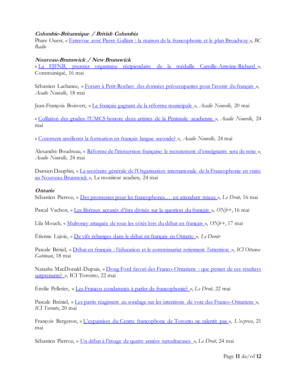#### <span id="page-10-0"></span>**Colombie-Britannique / British Columbia**

Phare Ouest, « [Entrevue avec Pierre Gallant : la maison de la francophonie et le plan Broadway](https://ici.radio-canada.ca/ohdio/premiere/emissions/phare-ouest/segments/entrevue/402183/pierre-gallant-corridor-broadway-skytrain-travaux-maison-francophonie-septieme-avenue-7e) », *BC Radio*

#### <span id="page-10-1"></span>**Nouveau-Brunswick / New Brunswick**

« [La FJFNB, premier organisme récipiendaire de la médaille Camille-Antoine-Richard](https://snacadie.org/communications/communiques-de-presse/309-la-fjfnb-premier-organisme-recipiendaire-de-la-medaille-camille-antoine-richard) », Communiqué, 16 mai

Sébastien Lachance, « Forum à Petit-[Rocher: des données préoccupantes pour l'avenir du français](https://www.acadienouvelle.com/actualites/2022/05/18/forum-a-petit-rocher-des-donnees-preoccupantes-pour-lavenir-du-francais-au-n-b/) », *Acadie Nouvelle*, 18 mai

Jean-François Boisvert, « [Le français gagnant de la réforme municipale](https://www.acadienouvelle.com/actualites/2022/05/20/mettre-en-valeur-la-langue-pour-les-entites-majoritairement-francophones/) », *Acadie Nouvelle*, 20 mai

« [Collation des grades: l'UMCS honore deux artistes de la Péninsule acadienne](https://www.acadienouvelle.com/actualites/2022/05/24/collation-des-grades-lumcs-honore-deux-artistes-de-la-peninsule-acadienne/) », *Acadie Nouvelle*, 24 mai

« [Comment améliorer la formation en français langue seconde?](https://www.acadienouvelle.com/actualites/2022/05/24/comment-ameliorer-la-formation-en-francais-langue-seconde/) », *Acadie Nouvelle*, 24 mai

Alexandre Boudreau, « [Réforme de l'immersion française: le recrutement d'enseignants sera de mise](https://www.acadienouvelle.com/actualites/2022/05/24/reforme-de-limmersion-francaise-le-recrutement-denseignants-sera-de-mise/) ». *Acadie Nouvelle*, 24 mai

Damien Dauphin, « [La secrétaire générale de l'Organisation internationale de la Francophonie en visite](https://francopresse.ca/2022/05/24/la-secretaire-generale-de-lorganisation-internationale-de-la-francophonie-en-visite-au-nouveau-brunswick/)  [au Nouveau-Brunswick](https://francopresse.ca/2022/05/24/la-secretaire-generale-de-lorganisation-internationale-de-la-francophonie-en-visite-au-nouveau-brunswick/) », Le moniteur acadien, 24 mai

#### <span id="page-10-2"></span>**Ontario**

Sébastien Pierroz, « [Des promesses pour les francophones… e](https://www.ledroit.com/2022/05/16/des-promesses-pour-les-francophones-en-attendant-mieux-7a22f5b57fe25ec1f9744c0dfbbcd7ea)n attendant mieux », *Le Droit,* 16 mai

Pascal Vachon, « [Les libéraux accusés d'être divisés sur la question du français](https://onfr.tfo.org/liberaux-division-langue-francaise-loi-96-quebec/) », *ONfr+*, 16 mai

Lila Mouch, « [Mulroney attaquée de tous les côtés lors du débat en français](https://onfr.tfo.org/mulroney-debat-francophone-francais-ontarien-mulroney-simard-gelinas/) », *ONfr+*, 17 mai

Étienne Lajoie, « [De vifs échanges dans le débat en français en Ontario](https://www.ledevoir.com/societe/712440/de-vifs-echanges-dans-le-debat-en-francais-en-ontario) », *Le Devoir*

Pascale Béniel, « Débat en [français : l'éducation et le commissariat retiennent l'attention](https://ici.radio-canada.ca/nouvelle/1884098/francophonie-debat-mulroney-simard-gelinas) », *ICI Ottawa-Gatineau*, 18 mai

Natasha MacDonald-Dupuis, « [Doug Ford favori des Franco-Ontariens : que penser de ces résultats](https://ici.radio-canada.ca/nouvelle/1885332/doug-ford-favori-franco-ontariens-liberal-steven-del-duca-amanda-simard)  [surprenants?](https://ici.radio-canada.ca/nouvelle/1885332/doug-ford-favori-franco-ontariens-liberal-steven-del-duca-amanda-simard) », ICI Toronto, 22 mai

Émilie Pelletier, « [Les Francos condamnés à parler de francophonie?](https://www.ledroit.com/2022/05/22/les-francos-condamnes-a-parler-de-francophonie-7d07c93986d1135339b2b819f3efae8e) », *Le Droit,* 22 mai

Pascale Bréniel, « [Les partis réagissent au sondage sur les intentions de vote des Franco-Ontariens](https://ici.radio-canada.ca/nouvelle/1885173/chefs-partis-ontario-intention-vote) », *ICI Toronto*, 20 mai

François Bergeron, « [L'expansion du Centre francophone de Toronto ne ralentit pas](https://l-express.ca/lexpansion-du-centre-francophone-de-toronto-ne-ralentit-pas/) », *L'express*, 21 mai

Sébastien Pierroz, « [Un débat à l'image de quatre années tumultueuses](https://www.ledroit.com/2022/05/24/un-debat-a-limage-de-quatre-annees-tumultueuses-ca1f6f048768bd720864ec064fdd0944) », *Le Droit,* 24 mai